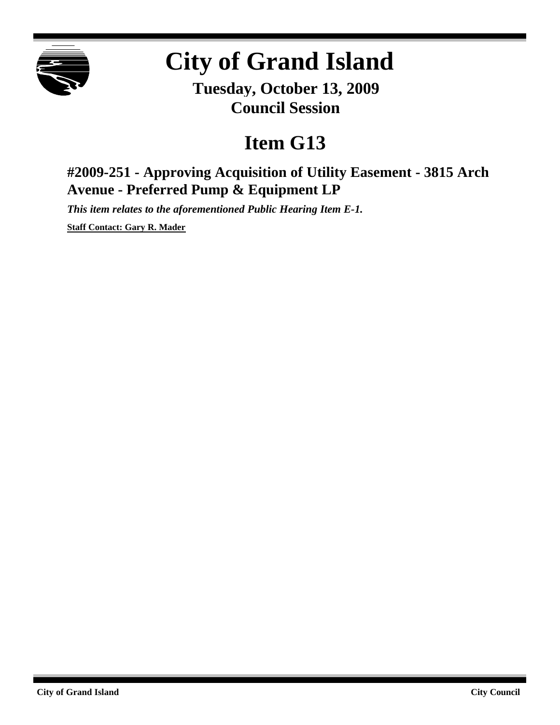

## **City of Grand Island**

**Tuesday, October 13, 2009 Council Session**

## **Item G13**

**#2009-251 - Approving Acquisition of Utility Easement - 3815 Arch Avenue - Preferred Pump & Equipment LP**

*This item relates to the aforementioned Public Hearing Item E-1.*

**Staff Contact: Gary R. Mader**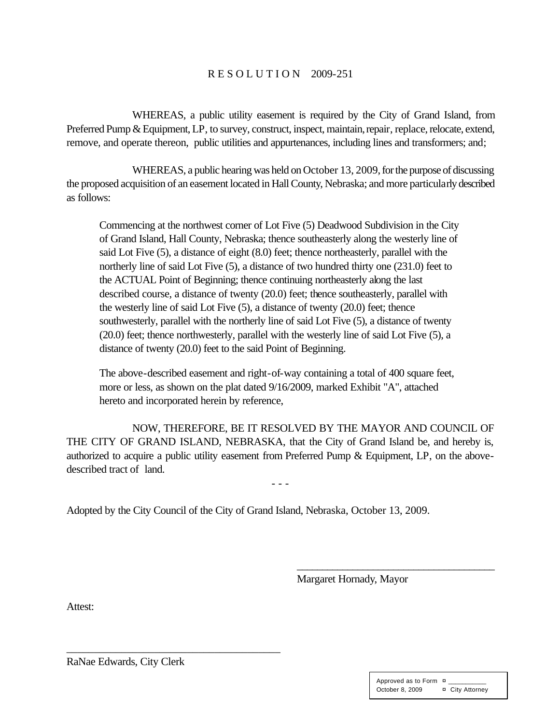## R E S O L U T I O N 2009-251

WHEREAS, a public utility easement is required by the City of Grand Island, from Preferred Pump & Equipment, LP, to survey, construct, inspect, maintain, repair, replace, relocate, extend, remove, and operate thereon, public utilities and appurtenances, including lines and transformers; and;

WHEREAS, a public hearing was held on October 13, 2009, for the purpose of discussing the proposed acquisition of an easement located in Hall County, Nebraska; and more particularly described as follows:

Commencing at the northwest corner of Lot Five (5) Deadwood Subdivision in the City of Grand Island, Hall County, Nebraska; thence southeasterly along the westerly line of said Lot Five (5), a distance of eight (8.0) feet; thence northeasterly, parallel with the northerly line of said Lot Five (5), a distance of two hundred thirty one (231.0) feet to the ACTUAL Point of Beginning; thence continuing northeasterly along the last described course, a distance of twenty (20.0) feet; thence southeasterly, parallel with the westerly line of said Lot Five (5), a distance of twenty (20.0) feet; thence southwesterly, parallel with the northerly line of said Lot Five (5), a distance of twenty (20.0) feet; thence northwesterly, parallel with the westerly line of said Lot Five (5), a distance of twenty (20.0) feet to the said Point of Beginning.

The above-described easement and right-of-way containing a total of 400 square feet, more or less, as shown on the plat dated 9/16/2009, marked Exhibit "A", attached hereto and incorporated herein by reference,

NOW, THEREFORE, BE IT RESOLVED BY THE MAYOR AND COUNCIL OF THE CITY OF GRAND ISLAND, NEBRASKA, that the City of Grand Island be, and hereby is, authorized to acquire a public utility easement from Preferred Pump & Equipment, LP, on the abovedescribed tract of land.

- - -

Adopted by the City Council of the City of Grand Island, Nebraska, October 13, 2009.

Margaret Hornady, Mayor

\_\_\_\_\_\_\_\_\_\_\_\_\_\_\_\_\_\_\_\_\_\_\_\_\_\_\_\_\_\_\_\_\_\_\_\_\_\_\_

Attest:

RaNae Edwards, City Clerk

\_\_\_\_\_\_\_\_\_\_\_\_\_\_\_\_\_\_\_\_\_\_\_\_\_\_\_\_\_\_\_\_\_\_\_\_\_\_\_

| Approved as to Form ¤ |                 |
|-----------------------|-----------------|
| October 8, 2009       | ¤ City Attorney |